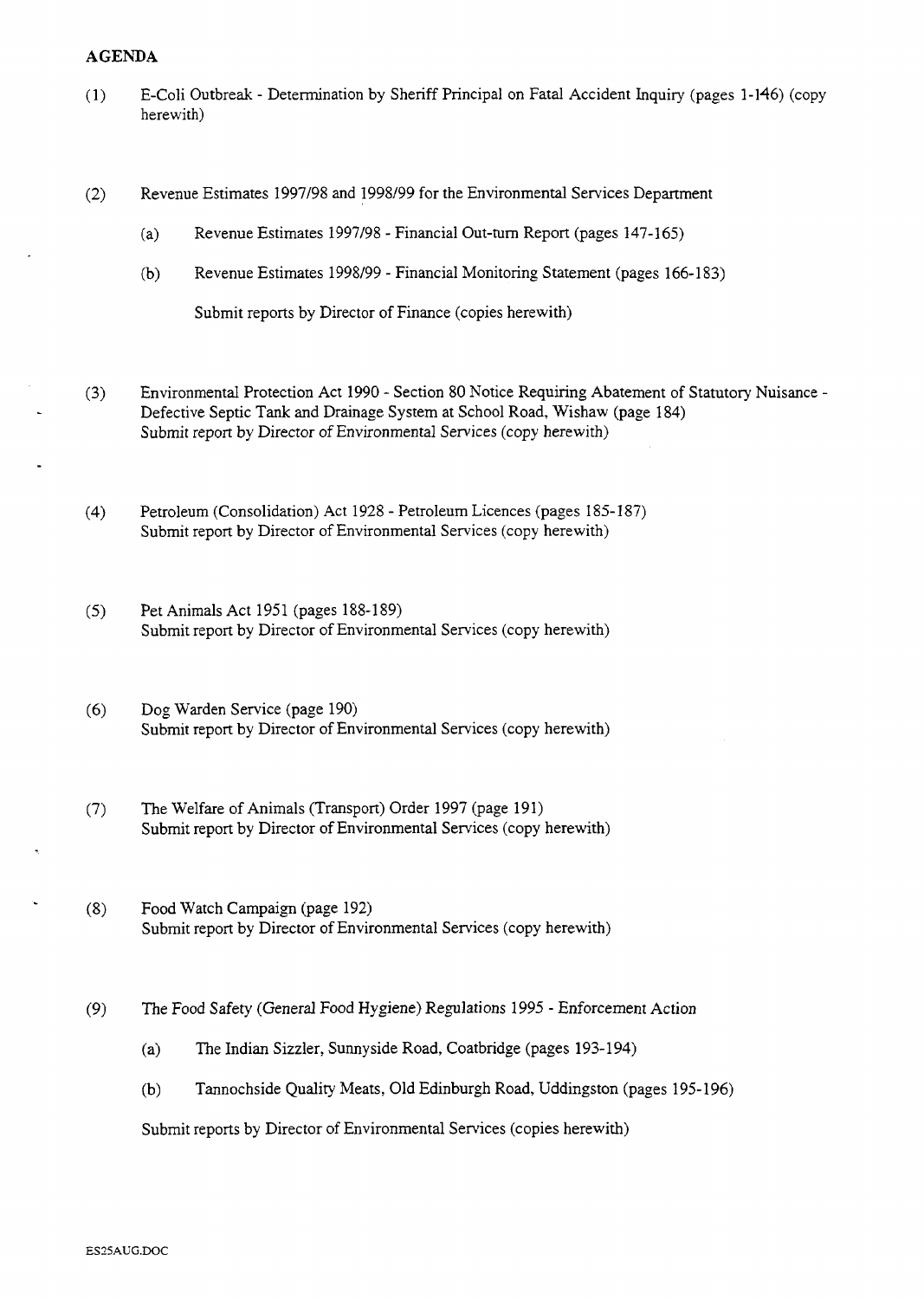## **AGENDA**

- (1) E-Coli Outbreak [Determination by Sheriff Principal on Fatal Accident Inquiry \(pages](HTTP://mars.northlan.gov.uk/xpedio/groups/public/documents/report/043697.pdf) 1-146) (copy herewith)
- (2) Revenue Estimates 1997/98 and 1998/99 for the Environmental Services Department
	- (a) Revenue Estimates 1997/98 - [Financial Out-turn Report \(pages 147-165\)](HTTP://mars.northlan.gov.uk/xpedio/groups/public/documents/report/043700.pdf)
	- (b) Revenue Estimates 1998/99 - Financial Monitoring Statement (pages 166-183)

Submit reports by Director of Finance (copies herewith)

- **(3)** Environmental Protection Act 1990 Section 80 Notice Requiring Abatement of Statutory Nuisance Defective Septic **Tank** and Drainage System at School Road, Wishaw (page 184) [Submit report by Director of Environmental Services \(copy herewith\)](HTTP://mars.northlan.gov.uk/xpedio/groups/public/documents/report/043702.pdf)
- **(4)** Petroleum (Consolidation) Act 1928 Petroleum Licences (pages 185- 187) [Submit report by Director of Environmental Services \(copy herewith\)](HTTP://mars.northlan.gov.uk/xpedio/groups/public/documents/report/043703.pdf)
- *(5)* Pet Animals Act 1951 (pages 188-189) [Submit report by Director of Environmental Services \(copy herewith\)](HTTP://mars.northlan.gov.uk/xpedio/groups/public/documents/report/043704.pdf)
- (6) Dog Warden Service (page 190) [Submit report by Director of Environmental Services \(copy herewith\)](#page-3-0)
- *(7)* The Welfare of Animals (Transport) Order 1997 (page 191) [Submit report by Director of Environmental Services \(copy herewith\)](HTTP://mars.northlan.gov.uk/xpedio/groups/public/documents/report/043706.pdf)
- **(8)** Food Watch Campaign (page 192) [Submit report by Director of Environmental Services \(copy herewith\)](HTTP://mars.northlan.gov.uk/xpedio/groups/public/documents/report/043707.pdf)
- *(9)* The Food Safety (General Food Hygiene) Regulations 1995 Enforcement Action
	- (a) [The Indian Sizzler, Sunnyside Road, Coatbridge \(pages 193-194\)](HTTP://mars.northlan.gov.uk/xpedio/groups/public/documents/report/043708.pdf)
	- (b) [Tannochside Quality Meats, Old Edinburgh Road, Uddingston \(pages 195-196\)](HTTP://mars.northlan.gov.uk/xpedio/groups/public/documents/report/043709.pdf)

Submit reports by Director of Environmental Services (copies herewith)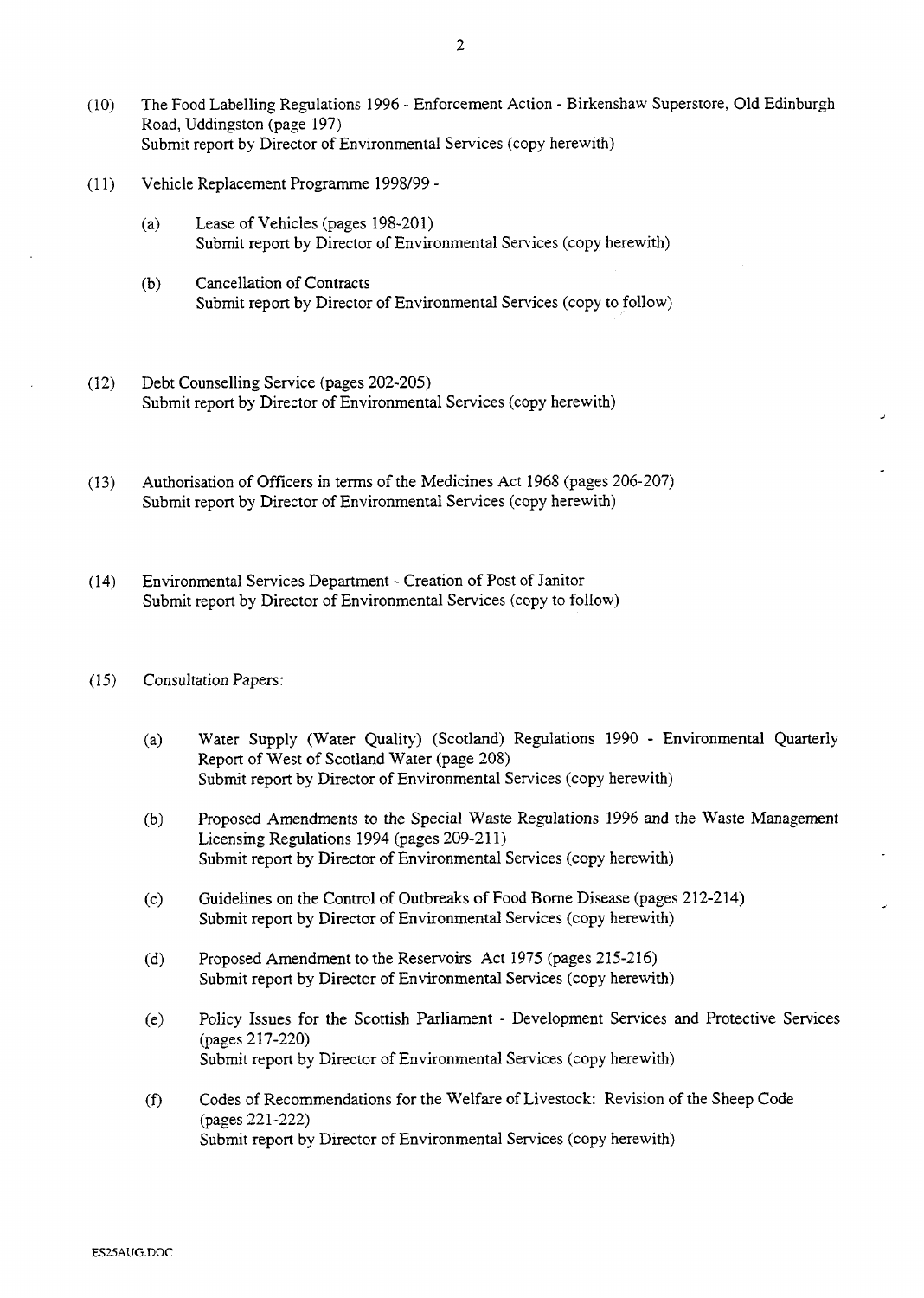- (10) The Food Labelling Regulations 1996 Enforcement Action Birkenshaw Superstore, Old Edinburgh Road, Uddingston (page 197) [Submit report by Director of Environmental Services \(copy herewith\)](HTTP://mars.northlan.gov.uk/xpedio/groups/public/documents/report/043710.pdf)
- (1 1) Vehicle Replacement Programme 1998/99
	- (a) Lease of Vehicles (pages 198-201) [Submit report by Director of Environmental Services \(copy herewith\)](HTTP://mars.northlan.gov.uk/xpedio/groups/public/documents/report/043711.pdf)
	- (b) Cancellation of Contracts Submit report by Director of Environmental Services (copy to follow)
- (12) Debt Counselling Service (pages 202-205) [Submit report by Director of Environmental Services \(copy herewith\)](HTTP://mars.northlan.gov.uk/xpedio/groups/public/documents/report/043712.pdf)
- (13) [Authorisation of Officers in terms of the Medicines Act 1968 \(pages 206-207\)](HTTP://mars.northlan.gov.uk/xpedio/groups/public/documents/report/043713.pdf)  Submit report by Director of Environmental Services (copy herewith)
- (14) Environmental Services Department Creation of Post of Janitor Submit report by Director of Environmental Services (copy to follow)
- (15) Consultation Papers:
	- Water Supply (Water Quality) (Scotland) Regulations 1990 Environmental Quarterly  $(a)$ Report of West of Scotland Water (page 208) [Submit report by Director of Environmental Services \(copy herewith\)](HTTP://mars.northlan.gov.uk/xpedio/groups/public/documents/report/043714.pdf)
	- $(b)$ [Proposed Amendments to the Special Waste Regulations 1996 and the Waste Management](HTTP://mars.northlan.gov.uk/xpedio/groups/public/documents/report/043715.pdf)  Licensing Regulations 1994 (pages 209-211) Submit report by Director of Environmental Services (copy herewith)
	- [Guidelines on the Control of Outbreaks of Food Borne Disease \(pages 212-214\)](HTTP://mars.northlan.gov.uk/xpedio/groups/public/documents/report/043716.pdf)   $(c)$ Submit report by Director of Environmental Services (copy herewith)
	- Proposed Amendment to the Reservoirs Act 1975 (pages 215-216)  $(d)$ [Submit report by Director of Environmental Services \(copy herewith\)](HTTP://mars.northlan.gov.uk/xpedio/groups/public/documents/report/043717.pdf)
	- Policy Issues for the Scottish Parliament Development Services and Protective Services  $(e)$ (pages 2 17-220) [Submit report by Director of Environmental Services \(copy herewith\)](HTTP://mars.northlan.gov.uk/xpedio/groups/public/documents/report/043718.pdf)
	- [Codes of Recommendations for the Welfare of Livestock: Revision of the Sheep Code](HTTP://mars.northlan.gov.uk/xpedio/groups/public/documents/report/043719.pdf)   $(f)$ (pages 221-222) Submit report by Director of Environmental Services (copy herewith)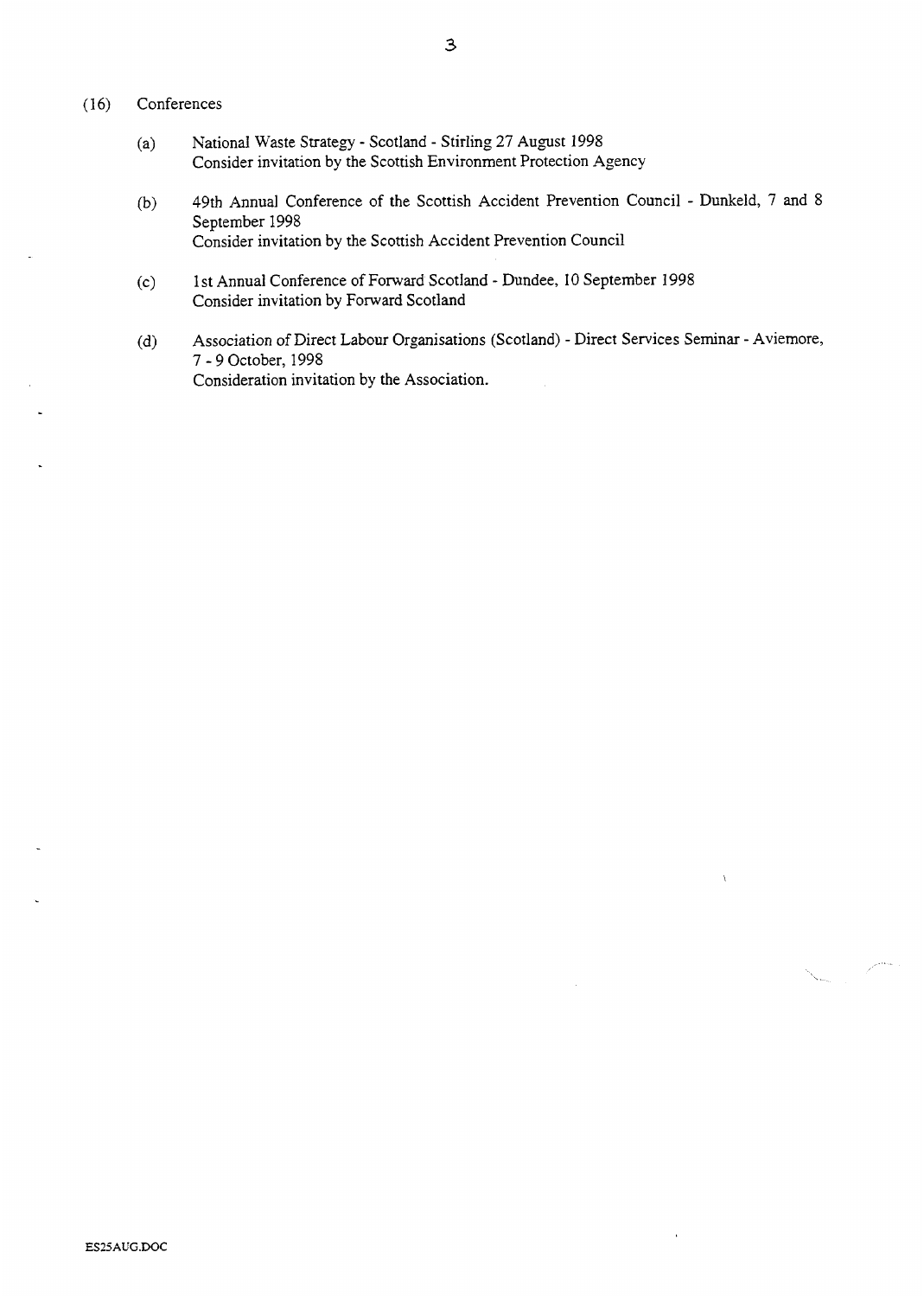## (16) Conferences

- (a) National Waste Strategy Scotland Stirling 27 August 1998 Consider invitation by the Scottish Environment Protection Agency
- (b) 49th Annual Conference of the Scottish Accident Prevention Council Dunkeld, 7 and 8 September 1998 Consider invitation by the Scottish Accident Prevention Council
- (c) 1 st Annual Conference of Forward Scotland Dundee, I0 September *<sup>1998</sup>* Consider invitation by Forward Scotland
- (d) Association of Direct Labour Organisations (Scotland) Direct Services Seminar Aviemore, 7 - 9 October, 1998 Consideration invitation by the Association.

 $\ddot{\phantom{1}}$